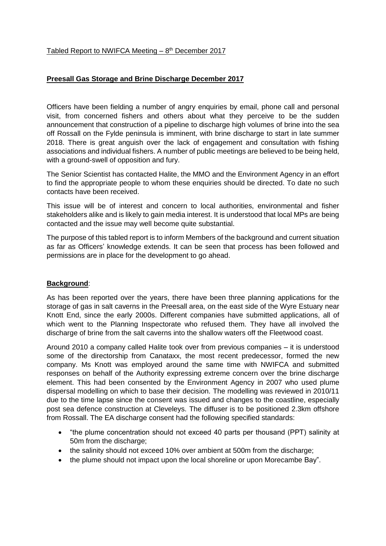## **Preesall Gas Storage and Brine Discharge December 2017**

Officers have been fielding a number of angry enquiries by email, phone call and personal visit, from concerned fishers and others about what they perceive to be the sudden announcement that construction of a pipeline to discharge high volumes of brine into the sea off Rossall on the Fylde peninsula is imminent, with brine discharge to start in late summer 2018. There is great anguish over the lack of engagement and consultation with fishing associations and individual fishers. A number of public meetings are believed to be being held, with a ground-swell of opposition and fury.

The Senior Scientist has contacted Halite, the MMO and the Environment Agency in an effort to find the appropriate people to whom these enquiries should be directed. To date no such contacts have been received.

This issue will be of interest and concern to local authorities, environmental and fisher stakeholders alike and is likely to gain media interest. It is understood that local MPs are being contacted and the issue may well become quite substantial.

The purpose of this tabled report is to inform Members of the background and current situation as far as Officers' knowledge extends. It can be seen that process has been followed and permissions are in place for the development to go ahead.

## **Background**:

As has been reported over the years, there have been three planning applications for the storage of gas in salt caverns in the Preesall area, on the east side of the Wyre Estuary near Knott End, since the early 2000s. Different companies have submitted applications, all of which went to the Planning Inspectorate who refused them. They have all involved the discharge of brine from the salt caverns into the shallow waters off the Fleetwood coast.

Around 2010 a company called Halite took over from previous companies – it is understood some of the directorship from Canataxx, the most recent predecessor, formed the new company. Ms Knott was employed around the same time with NWIFCA and submitted responses on behalf of the Authority expressing extreme concern over the brine discharge element. This had been consented by the Environment Agency in 2007 who used plume dispersal modelling on which to base their decision. The modelling was reviewed in 2010/11 due to the time lapse since the consent was issued and changes to the coastline, especially post sea defence construction at Cleveleys. The diffuser is to be positioned 2.3km offshore from Rossall. The EA discharge consent had the following specified standards:

- "the plume concentration should not exceed 40 parts per thousand (PPT) salinity at 50m from the discharge;
- the salinity should not exceed 10% over ambient at 500m from the discharge;
- the plume should not impact upon the local shoreline or upon Morecambe Bay".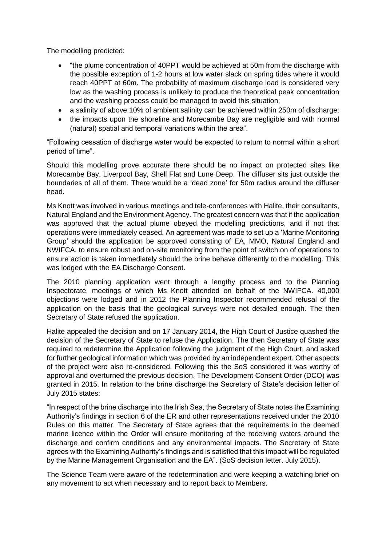The modelling predicted:

- "the plume concentration of 40PPT would be achieved at 50m from the discharge with the possible exception of 1-2 hours at low water slack on spring tides where it would reach 40PPT at 60m. The probability of maximum discharge load is considered very low as the washing process is unlikely to produce the theoretical peak concentration and the washing process could be managed to avoid this situation;
- a salinity of above 10% of ambient salinity can be achieved within 250m of discharge;
- the impacts upon the shoreline and Morecambe Bay are negligible and with normal (natural) spatial and temporal variations within the area".

"Following cessation of discharge water would be expected to return to normal within a short period of time".

Should this modelling prove accurate there should be no impact on protected sites like Morecambe Bay, Liverpool Bay, Shell Flat and Lune Deep. The diffuser sits just outside the boundaries of all of them. There would be a 'dead zone' for 50m radius around the diffuser head.

Ms Knott was involved in various meetings and tele-conferences with Halite, their consultants, Natural England and the Environment Agency. The greatest concern was that if the application was approved that the actual plume obeyed the modelling predictions, and if not that operations were immediately ceased. An agreement was made to set up a 'Marine Monitoring Group' should the application be approved consisting of EA, MMO, Natural England and NWIFCA, to ensure robust and on-site monitoring from the point of switch on of operations to ensure action is taken immediately should the brine behave differently to the modelling. This was lodged with the EA Discharge Consent.

The 2010 planning application went through a lengthy process and to the Planning Inspectorate, meetings of which Ms Knott attended on behalf of the NWIFCA. 40,000 objections were lodged and in 2012 the Planning Inspector recommended refusal of the application on the basis that the geological surveys were not detailed enough. The then Secretary of State refused the application.

Halite appealed the decision and on 17 January 2014, the High Court of Justice quashed the decision of the Secretary of State to refuse the Application. The then Secretary of State was required to redetermine the Application following the judgment of the High Court, and asked for further geological information which was provided by an independent expert. Other aspects of the project were also re-considered. Following this the SoS considered it was worthy of approval and overturned the previous decision. The Development Consent Order (DCO) was granted in 2015. In relation to the brine discharge the Secretary of State's decision letter of July 2015 states:

"In respect of the brine discharge into the Irish Sea, the Secretary of State notes the Examining Authority's findings in section 6 of the ER and other representations received under the 2010 Rules on this matter. The Secretary of State agrees that the requirements in the deemed marine licence within the Order will ensure monitoring of the receiving waters around the discharge and confirm conditions and any environmental impacts. The Secretary of State agrees with the Examining Authority's findings and is satisfied that this impact will be regulated by the Marine Management Organisation and the EA". (SoS decision letter. July 2015).

The Science Team were aware of the redetermination and were keeping a watching brief on any movement to act when necessary and to report back to Members.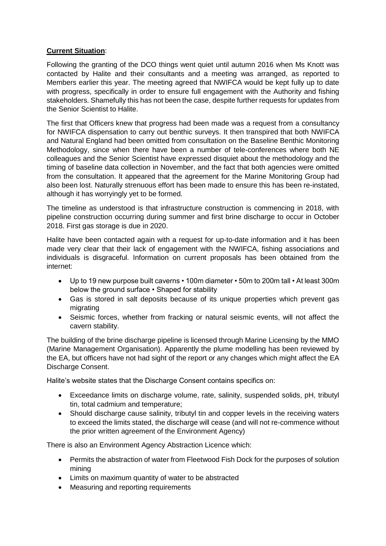## **Current Situation**:

Following the granting of the DCO things went quiet until autumn 2016 when Ms Knott was contacted by Halite and their consultants and a meeting was arranged, as reported to Members earlier this year. The meeting agreed that NWIFCA would be kept fully up to date with progress, specifically in order to ensure full engagement with the Authority and fishing stakeholders. Shamefully this has not been the case, despite further requests for updates from the Senior Scientist to Halite.

The first that Officers knew that progress had been made was a request from a consultancy for NWIFCA dispensation to carry out benthic surveys. It then transpired that both NWIFCA and Natural England had been omitted from consultation on the Baseline Benthic Monitoring Methodology, since when there have been a number of tele-conferences where both NE colleagues and the Senior Scientist have expressed disquiet about the methodology and the timing of baseline data collection in November, and the fact that both agencies were omitted from the consultation. It appeared that the agreement for the Marine Monitoring Group had also been lost. Naturally strenuous effort has been made to ensure this has been re-instated, although it has worryingly yet to be formed.

The timeline as understood is that infrastructure construction is commencing in 2018, with pipeline construction occurring during summer and first brine discharge to occur in October 2018. First gas storage is due in 2020.

Halite have been contacted again with a request for up-to-date information and it has been made very clear that their lack of engagement with the NWIFCA, fishing associations and individuals is disgraceful. Information on current proposals has been obtained from the internet:

- Up to 19 new purpose built caverns 100m diameter 50m to 200m tall At least 300m below the ground surface • Shaped for stability
- Gas is stored in salt deposits because of its unique properties which prevent gas migrating
- Seismic forces, whether from fracking or natural seismic events, will not affect the cavern stability.

The building of the brine discharge pipeline is licensed through Marine Licensing by the MMO (Marine Management Organisation). Apparently the plume modelling has been reviewed by the EA, but officers have not had sight of the report or any changes which might affect the EA Discharge Consent.

Halite's website states that the Discharge Consent contains specifics on:

- Exceedance limits on discharge volume, rate, salinity, suspended solids, pH, tributyl tin, total cadmium and temperature;
- Should discharge cause salinity, tributyl tin and copper levels in the receiving waters to exceed the limits stated, the discharge will cease (and will not re-commence without the prior written agreement of the Environment Agency)

There is also an Environment Agency Abstraction Licence which:

- Permits the abstraction of water from Fleetwood Fish Dock for the purposes of solution mining
- Limits on maximum quantity of water to be abstracted
- Measuring and reporting requirements